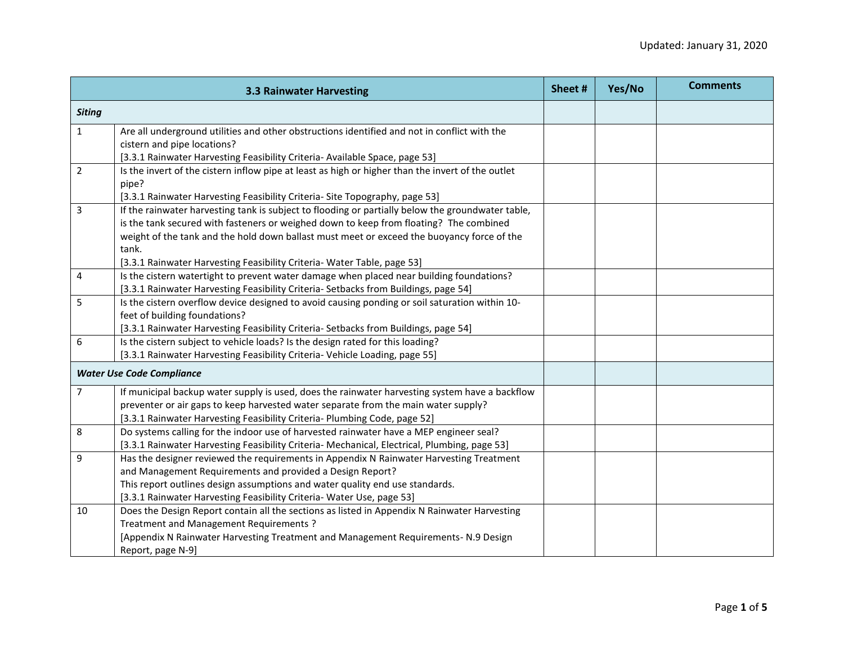|                | <b>3.3 Rainwater Harvesting</b>                                                                   | Sheet # | Yes/No | <b>Comments</b> |
|----------------|---------------------------------------------------------------------------------------------------|---------|--------|-----------------|
| <b>Siting</b>  |                                                                                                   |         |        |                 |
| $\mathbf{1}$   | Are all underground utilities and other obstructions identified and not in conflict with the      |         |        |                 |
|                | cistern and pipe locations?                                                                       |         |        |                 |
|                | [3.3.1 Rainwater Harvesting Feasibility Criteria- Available Space, page 53]                       |         |        |                 |
| $\overline{2}$ | Is the invert of the cistern inflow pipe at least as high or higher than the invert of the outlet |         |        |                 |
|                | pipe?                                                                                             |         |        |                 |
|                | [3.3.1 Rainwater Harvesting Feasibility Criteria- Site Topography, page 53]                       |         |        |                 |
| 3              | If the rainwater harvesting tank is subject to flooding or partially below the groundwater table, |         |        |                 |
|                | is the tank secured with fasteners or weighed down to keep from floating? The combined            |         |        |                 |
|                | weight of the tank and the hold down ballast must meet or exceed the buoyancy force of the        |         |        |                 |
|                | tank.                                                                                             |         |        |                 |
|                | [3.3.1 Rainwater Harvesting Feasibility Criteria- Water Table, page 53]                           |         |        |                 |
| 4              | Is the cistern watertight to prevent water damage when placed near building foundations?          |         |        |                 |
|                | [3.3.1 Rainwater Harvesting Feasibility Criteria- Setbacks from Buildings, page 54]               |         |        |                 |
| 5              | Is the cistern overflow device designed to avoid causing ponding or soil saturation within 10-    |         |        |                 |
|                | feet of building foundations?                                                                     |         |        |                 |
|                | [3.3.1 Rainwater Harvesting Feasibility Criteria- Setbacks from Buildings, page 54]               |         |        |                 |
| 6              | Is the cistern subject to vehicle loads? Is the design rated for this loading?                    |         |        |                 |
|                | [3.3.1 Rainwater Harvesting Feasibility Criteria- Vehicle Loading, page 55]                       |         |        |                 |
|                | <b>Water Use Code Compliance</b>                                                                  |         |        |                 |
| $\overline{7}$ | If municipal backup water supply is used, does the rainwater harvesting system have a backflow    |         |        |                 |
|                | preventer or air gaps to keep harvested water separate from the main water supply?                |         |        |                 |
|                | [3.3.1 Rainwater Harvesting Feasibility Criteria- Plumbing Code, page 52]                         |         |        |                 |
| 8              | Do systems calling for the indoor use of harvested rainwater have a MEP engineer seal?            |         |        |                 |
|                | [3.3.1 Rainwater Harvesting Feasibility Criteria- Mechanical, Electrical, Plumbing, page 53]      |         |        |                 |
| 9              | Has the designer reviewed the requirements in Appendix N Rainwater Harvesting Treatment           |         |        |                 |
|                | and Management Requirements and provided a Design Report?                                         |         |        |                 |
|                | This report outlines design assumptions and water quality end use standards.                      |         |        |                 |
|                | [3.3.1 Rainwater Harvesting Feasibility Criteria- Water Use, page 53]                             |         |        |                 |
| 10             | Does the Design Report contain all the sections as listed in Appendix N Rainwater Harvesting      |         |        |                 |
|                | Treatment and Management Requirements?                                                            |         |        |                 |
|                | [Appendix N Rainwater Harvesting Treatment and Management Requirements- N.9 Design                |         |        |                 |
|                | Report, page N-9]                                                                                 |         |        |                 |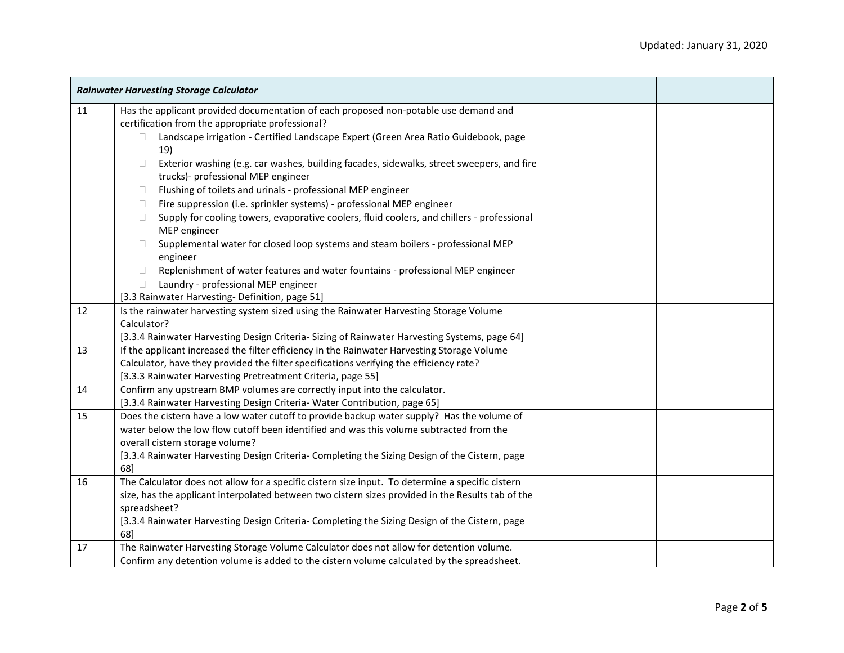|    | <b>Rainwater Harvesting Storage Calculator</b>                                                                                                                         |  |  |
|----|------------------------------------------------------------------------------------------------------------------------------------------------------------------------|--|--|
| 11 | Has the applicant provided documentation of each proposed non-potable use demand and<br>certification from the appropriate professional?                               |  |  |
|    | Landscape irrigation - Certified Landscape Expert (Green Area Ratio Guidebook, page<br>$\Box$<br>19)                                                                   |  |  |
|    | Exterior washing (e.g. car washes, building facades, sidewalks, street sweepers, and fire<br>$\Box$<br>trucks)- professional MEP engineer                              |  |  |
|    | Flushing of toilets and urinals - professional MEP engineer<br>□                                                                                                       |  |  |
|    | Fire suppression (i.e. sprinkler systems) - professional MEP engineer<br>□                                                                                             |  |  |
|    | Supply for cooling towers, evaporative coolers, fluid coolers, and chillers - professional<br>П<br>MEP engineer                                                        |  |  |
|    | Supplemental water for closed loop systems and steam boilers - professional MEP<br>П<br>engineer                                                                       |  |  |
|    | Replenishment of water features and water fountains - professional MEP engineer<br>$\Box$                                                                              |  |  |
|    | Laundry - professional MEP engineer<br>$\Box$                                                                                                                          |  |  |
|    | [3.3 Rainwater Harvesting-Definition, page 51]                                                                                                                         |  |  |
| 12 | Is the rainwater harvesting system sized using the Rainwater Harvesting Storage Volume                                                                                 |  |  |
|    | Calculator?                                                                                                                                                            |  |  |
|    | [3.3.4 Rainwater Harvesting Design Criteria- Sizing of Rainwater Harvesting Systems, page 64]                                                                          |  |  |
| 13 | If the applicant increased the filter efficiency in the Rainwater Harvesting Storage Volume                                                                            |  |  |
|    | Calculator, have they provided the filter specifications verifying the efficiency rate?                                                                                |  |  |
|    | [3.3.3 Rainwater Harvesting Pretreatment Criteria, page 55]                                                                                                            |  |  |
| 14 | Confirm any upstream BMP volumes are correctly input into the calculator.                                                                                              |  |  |
| 15 | [3.3.4 Rainwater Harvesting Design Criteria-Water Contribution, page 65]<br>Does the cistern have a low water cutoff to provide backup water supply? Has the volume of |  |  |
|    | water below the low flow cutoff been identified and was this volume subtracted from the                                                                                |  |  |
|    | overall cistern storage volume?                                                                                                                                        |  |  |
|    | [3.3.4 Rainwater Harvesting Design Criteria- Completing the Sizing Design of the Cistern, page                                                                         |  |  |
|    | 68]                                                                                                                                                                    |  |  |
| 16 | The Calculator does not allow for a specific cistern size input. To determine a specific cistern                                                                       |  |  |
|    | size, has the applicant interpolated between two cistern sizes provided in the Results tab of the                                                                      |  |  |
|    | spreadsheet?                                                                                                                                                           |  |  |
|    | [3.3.4 Rainwater Harvesting Design Criteria- Completing the Sizing Design of the Cistern, page                                                                         |  |  |
|    | 68]                                                                                                                                                                    |  |  |
| 17 | The Rainwater Harvesting Storage Volume Calculator does not allow for detention volume.                                                                                |  |  |
|    | Confirm any detention volume is added to the cistern volume calculated by the spreadsheet.                                                                             |  |  |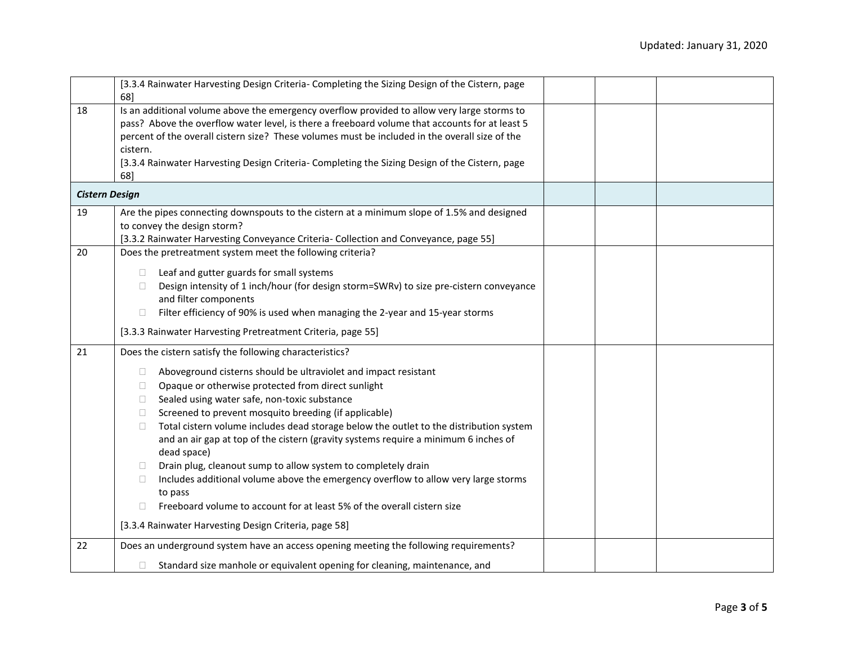|                       | [3.3.4 Rainwater Harvesting Design Criteria- Completing the Sizing Design of the Cistern, page<br>68]                                                                                                                                                                                                                                                                                                                                                                                                                                                                                                                                                                                                                                                                                                                                                                       |  |  |
|-----------------------|-----------------------------------------------------------------------------------------------------------------------------------------------------------------------------------------------------------------------------------------------------------------------------------------------------------------------------------------------------------------------------------------------------------------------------------------------------------------------------------------------------------------------------------------------------------------------------------------------------------------------------------------------------------------------------------------------------------------------------------------------------------------------------------------------------------------------------------------------------------------------------|--|--|
| 18                    | Is an additional volume above the emergency overflow provided to allow very large storms to<br>pass? Above the overflow water level, is there a freeboard volume that accounts for at least 5<br>percent of the overall cistern size? These volumes must be included in the overall size of the<br>cistern.<br>[3.3.4 Rainwater Harvesting Design Criteria- Completing the Sizing Design of the Cistern, page<br>68]                                                                                                                                                                                                                                                                                                                                                                                                                                                        |  |  |
| <b>Cistern Design</b> |                                                                                                                                                                                                                                                                                                                                                                                                                                                                                                                                                                                                                                                                                                                                                                                                                                                                             |  |  |
| 19                    | Are the pipes connecting downspouts to the cistern at a minimum slope of 1.5% and designed<br>to convey the design storm?<br>[3.3.2 Rainwater Harvesting Conveyance Criteria- Collection and Conveyance, page 55]                                                                                                                                                                                                                                                                                                                                                                                                                                                                                                                                                                                                                                                           |  |  |
| 20                    | Does the pretreatment system meet the following criteria?<br>Leaf and gutter guards for small systems<br>$\Box$<br>Design intensity of 1 inch/hour (for design storm=SWRv) to size pre-cistern conveyance<br>$\Box$<br>and filter components<br>Filter efficiency of 90% is used when managing the 2-year and 15-year storms<br>$\Box$<br>[3.3.3 Rainwater Harvesting Pretreatment Criteria, page 55]                                                                                                                                                                                                                                                                                                                                                                                                                                                                       |  |  |
| 21                    | Does the cistern satisfy the following characteristics?<br>Aboveground cisterns should be ultraviolet and impact resistant<br>$\Box$<br>Opaque or otherwise protected from direct sunlight<br>$\Box$<br>Sealed using water safe, non-toxic substance<br>$\Box$<br>Screened to prevent mosquito breeding (if applicable)<br>$\Box$<br>Total cistern volume includes dead storage below the outlet to the distribution system<br>$\Box$<br>and an air gap at top of the cistern (gravity systems require a minimum 6 inches of<br>dead space)<br>Drain plug, cleanout sump to allow system to completely drain<br>n.<br>Includes additional volume above the emergency overflow to allow very large storms<br>$\Box$<br>to pass<br>Freeboard volume to account for at least 5% of the overall cistern size<br>$\Box$<br>[3.3.4 Rainwater Harvesting Design Criteria, page 58] |  |  |
| 22                    | Does an underground system have an access opening meeting the following requirements?<br>Standard size manhole or equivalent opening for cleaning, maintenance, and                                                                                                                                                                                                                                                                                                                                                                                                                                                                                                                                                                                                                                                                                                         |  |  |
|                       |                                                                                                                                                                                                                                                                                                                                                                                                                                                                                                                                                                                                                                                                                                                                                                                                                                                                             |  |  |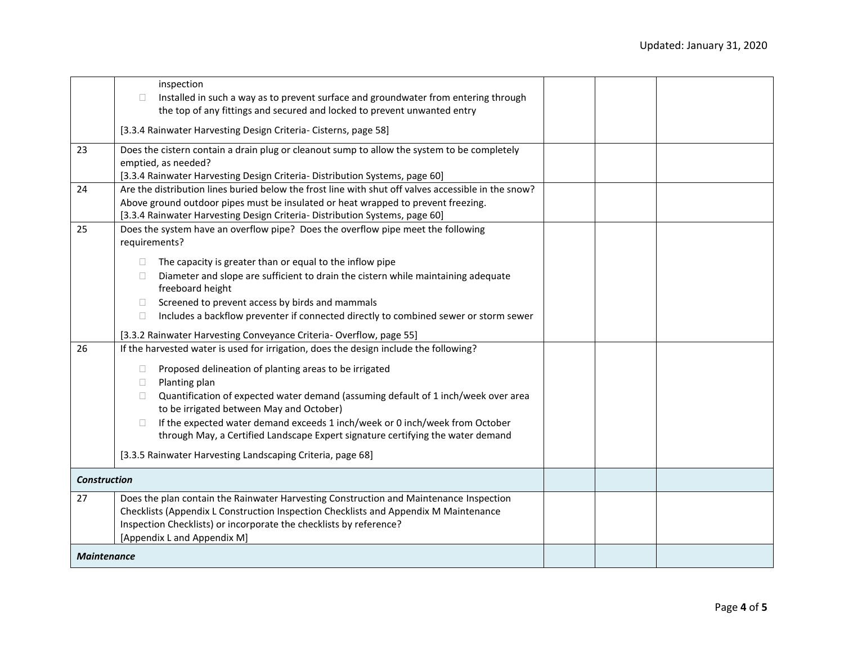|                     | inspection<br>Installed in such a way as to prevent surface and groundwater from entering through<br>$\Box$<br>the top of any fittings and secured and locked to prevent unwanted entry                                                                                                                                                                                                                                                                                                                                                                                     |  |  |
|---------------------|-----------------------------------------------------------------------------------------------------------------------------------------------------------------------------------------------------------------------------------------------------------------------------------------------------------------------------------------------------------------------------------------------------------------------------------------------------------------------------------------------------------------------------------------------------------------------------|--|--|
|                     | [3.3.4 Rainwater Harvesting Design Criteria- Cisterns, page 58]                                                                                                                                                                                                                                                                                                                                                                                                                                                                                                             |  |  |
| 23                  | Does the cistern contain a drain plug or cleanout sump to allow the system to be completely<br>emptied, as needed?<br>[3.3.4 Rainwater Harvesting Design Criteria- Distribution Systems, page 60]                                                                                                                                                                                                                                                                                                                                                                           |  |  |
| 24                  | Are the distribution lines buried below the frost line with shut off valves accessible in the snow?<br>Above ground outdoor pipes must be insulated or heat wrapped to prevent freezing.<br>[3.3.4 Rainwater Harvesting Design Criteria- Distribution Systems, page 60]                                                                                                                                                                                                                                                                                                     |  |  |
| 25                  | Does the system have an overflow pipe? Does the overflow pipe meet the following<br>requirements?                                                                                                                                                                                                                                                                                                                                                                                                                                                                           |  |  |
|                     | The capacity is greater than or equal to the inflow pipe<br>$\Box$<br>Diameter and slope are sufficient to drain the cistern while maintaining adequate<br>$\Box$<br>freeboard height<br>Screened to prevent access by birds and mammals<br>$\Box$<br>Includes a backflow preventer if connected directly to combined sewer or storm sewer<br>$\Box$<br>[3.3.2 Rainwater Harvesting Conveyance Criteria- Overflow, page 55]                                                                                                                                                 |  |  |
| 26                  | If the harvested water is used for irrigation, does the design include the following?<br>Proposed delineation of planting areas to be irrigated<br>$\Box$<br>Planting plan<br>$\Box$<br>Quantification of expected water demand (assuming default of 1 inch/week over area<br>$\Box$<br>to be irrigated between May and October)<br>If the expected water demand exceeds 1 inch/week or 0 inch/week from October<br>$\Box$<br>through May, a Certified Landscape Expert signature certifying the water demand<br>[3.3.5 Rainwater Harvesting Landscaping Criteria, page 68] |  |  |
| <b>Construction</b> |                                                                                                                                                                                                                                                                                                                                                                                                                                                                                                                                                                             |  |  |
| 27                  | Does the plan contain the Rainwater Harvesting Construction and Maintenance Inspection<br>Checklists (Appendix L Construction Inspection Checklists and Appendix M Maintenance<br>Inspection Checklists) or incorporate the checklists by reference?<br>[Appendix L and Appendix M]                                                                                                                                                                                                                                                                                         |  |  |
| <b>Maintenance</b>  |                                                                                                                                                                                                                                                                                                                                                                                                                                                                                                                                                                             |  |  |
|                     |                                                                                                                                                                                                                                                                                                                                                                                                                                                                                                                                                                             |  |  |